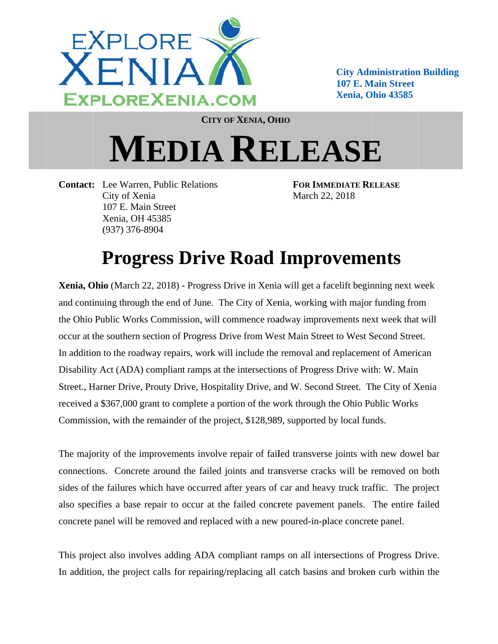

**City Administration Building 107 E. Main Street Xenia, Ohio 43585** 

**CITY OF XENIA, OHIO** 

## **MEDIA RELEASE**

**Contact:** Lee Warren, Public Relations City of Xenia 107 E. Main Street Xenia, OH 45385  $(937)$  376-8904

**FOR IMMEDIATE RELEASE** March 22, 2018

## **Progress Drive Road Improvements**

Xenia, Ohio (March 22, 2018) - Progress Drive in Xenia will get a facelift beginning next week and continuing through the end of June. The City of Xenia, working with major funding from the Ohio Public Works Commission, will commence roadway improvements next week that will occur at the southern section of Progress Drive from West Main Street to West Second Street. In addition to the roadway repairs, work will include the removal and replacement of American Disability Act (ADA) compliant ramps at the intersections of Progress Drive with: W. Main Street., Harner Drive, Prouty Drive, Hospitality Drive, and W. Second Street. The City of Xenia received a \$367,000 grant to complete a portion of the work through the Ohio Public Works Commission, with the remainder of the project, \$128,989, supported by local funds.

The majority of the improvements involve repair of failed transverse joints with new dowel bar connections. Concrete around the failed joints and transverse cracks will be removed on both sides of the failures which have occurred after years of car and heavy truck traffic. The project also specifies a base repair to occur at the failed concrete pavement panels. The entire failed concrete panel will be removed and replaced with a new poured-in-place concrete panel.

This project also involves adding ADA compliant ramps on all intersections of Progress Drive. In addition, the project calls for repairing/replacing all catch basins and broken curb within the